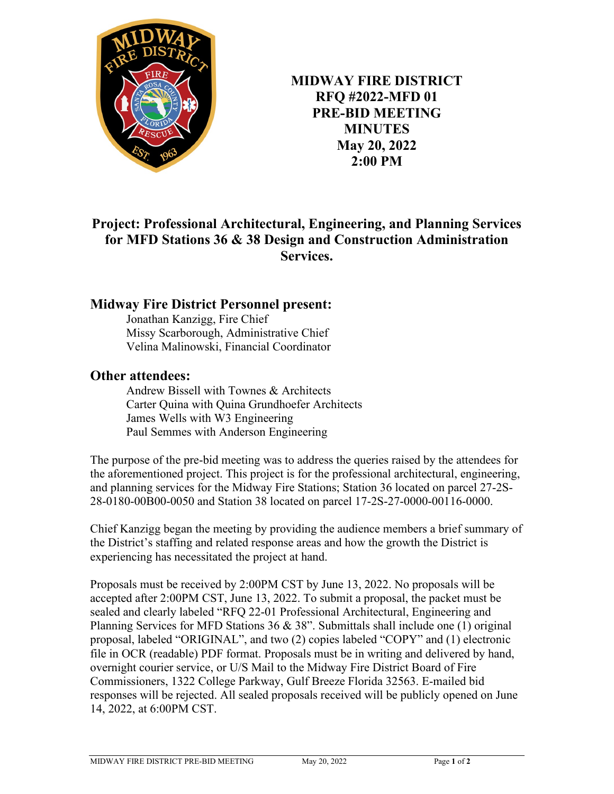

**MIDWAY FIRE DISTRICT RFQ #2022-MFD 01 PRE-BID MEETING MINUTES May 20, 2022 2:00 PM**

## **Project: Professional Architectural, Engineering, and Planning Services for MFD Stations 36 & 38 Design and Construction Administration Services.**

## **Midway Fire District Personnel present:**

Jonathan Kanzigg, Fire Chief Missy Scarborough, Administrative Chief Velina Malinowski, Financial Coordinator

## **Other attendees:**

Andrew Bissell with Townes & Architects Carter Quina with Quina Grundhoefer Architects James Wells with W3 Engineering Paul Semmes with Anderson Engineering

The purpose of the pre-bid meeting was to address the queries raised by the attendees for the aforementioned project. This project is for the professional architectural, engineering, and planning services for the Midway Fire Stations; Station 36 located on parcel 27-2S-28-0180-00B00-0050 and Station 38 located on parcel 17-2S-27-0000-00116-0000.

Chief Kanzigg began the meeting by providing the audience members a brief summary of the District's staffing and related response areas and how the growth the District is experiencing has necessitated the project at hand.

Proposals must be received by 2:00PM CST by June 13, 2022. No proposals will be accepted after 2:00PM CST, June 13, 2022. To submit a proposal, the packet must be sealed and clearly labeled "RFQ 22-01 Professional Architectural, Engineering and Planning Services for MFD Stations 36  $\&$  38". Submittals shall include one (1) original proposal, labeled "ORIGINAL", and two (2) copies labeled "COPY" and (1) electronic file in OCR (readable) PDF format. Proposals must be in writing and delivered by hand, overnight courier service, or U/S Mail to the Midway Fire District Board of Fire Commissioners, 1322 College Parkway, Gulf Breeze Florida 32563. E-mailed bid responses will be rejected. All sealed proposals received will be publicly opened on June 14, 2022, at 6:00PM CST.